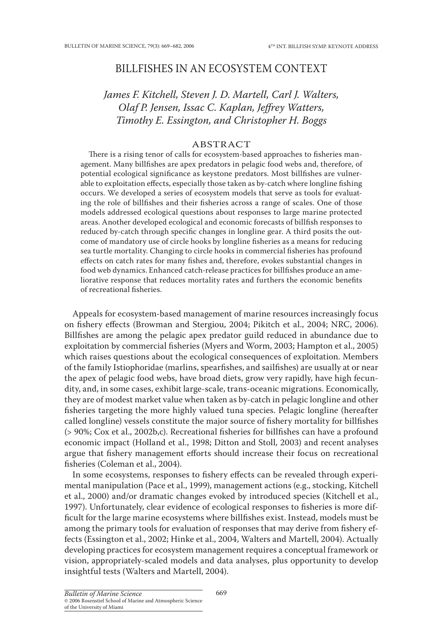## Billfishes in an Ecosystem Context

# James F. Kitchell, Steven J. D. Martell, Carl J. Walters, *Olaf P. Jensen, Issac C. Kaplan, Jeffrey Watters, Timothy E. Essington, and Christopher H. Boggs*

## **ABSTRACT**

There is a rising tenor of calls for ecosystem-based approaches to fisheries management. Many billfishes are apex predators in pelagic food webs and, therefore, of potential ecological significance as keystone predators. Most billfishes are vulnerable to exploitation effects, especially those taken as by-catch where longline fishing occurs. We developed a series of ecosystem models that serve as tools for evaluating the role of billfishes and their fisheries across a range of scales. One of those models addressed ecological questions about responses to large marine protected areas. Another developed ecological and economic forecasts of billfish responses to reduced by-catch through specific changes in longline gear. A third posits the outcome of mandatory use of circle hooks by longline fisheries as a means for reducing sea turtle mortality. Changing to circle hooks in commercial fisheries has profound effects on catch rates for many fishes and, therefore, evokes substantial changes in food web dynamics. Enhanced catch-release practices for billfishes produce an ameliorative response that reduces mortality rates and furthers the economic benefits of recreational fisheries.

Appeals for ecosystem-based management of marine resources increasingly focus on fishery effects (Browman and Stergiou, 2004; Pikitch et al., 2004; NRC, 2006). Billfishes are among the pelagic apex predator guild reduced in abundance due to exploitation by commercial fisheries (Myers and Worm, 2003; Hampton et al., 2005) which raises questions about the ecological consequences of exploitation. Members of the family Istiophoridae (marlins, spearfishes, and sailfishes) are usually at or near the apex of pelagic food webs, have broad diets, grow very rapidly, have high fecundity, and, in some cases, exhibit large-scale, trans-oceanic migrations. Economically, they are of modest market value when taken as by-catch in pelagic longline and other fisheries targeting the more highly valued tuna species. Pelagic longline (hereafter called longline) vessels constitute the major source of fishery mortality for billfishes (> 90%; Cox et al., 2002b,c). Recreational fisheries for billfishes can have a profound economic impact (Holland et al., 1998; Ditton and Stoll, 2003) and recent analyses argue that fishery management efforts should increase their focus on recreational fisheries (Coleman et al., 2004).

In some ecosystems, responses to fishery effects can be revealed through experimental manipulation (Pace et al., 1999), management actions (e.g., stocking, Kitchell et al., 2000) and/or dramatic changes evoked by introduced species (Kitchell et al., 1997). Unfortunately, clear evidence of ecological responses to fisheries is more difficult for the large marine ecosystems where billfishes exist. Instead, models must be among the primary tools for evaluation of responses that may derive from fishery effects (Essington et al., 2002; Hinke et al., 2004, Walters and Martell, 2004). Actually developing practices for ecosystem management requires a conceptual framework or vision, appropriately-scaled models and data analyses, plus opportunity to develop insightful tests (Walters and Martell, 2004).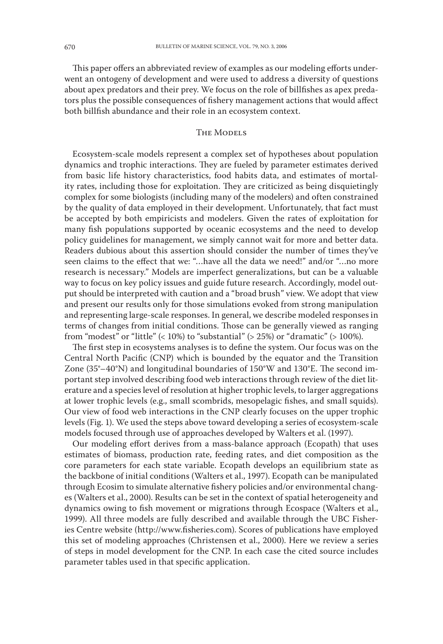This paper offers an abbreviated review of examples as our modeling efforts underwent an ontogeny of development and were used to address a diversity of questions about apex predators and their prey. We focus on the role of billfishes as apex predators plus the possible consequences of fishery management actions that would affect both billfish abundance and their role in an ecosystem context.

## THE MODELS

Ecosystem-scale models represent a complex set of hypotheses about population dynamics and trophic interactions. They are fueled by parameter estimates derived from basic life history characteristics, food habits data, and estimates of mortality rates, including those for exploitation. They are criticized as being disquietingly complex for some biologists (including many of the modelers) and often constrained by the quality of data employed in their development. Unfortunately, that fact must be accepted by both empiricists and modelers. Given the rates of exploitation for many fish populations supported by oceanic ecosystems and the need to develop policy guidelines for management, we simply cannot wait for more and better data. Readers dubious about this assertion should consider the number of times they've seen claims to the effect that we: "…have all the data we need!" and/or "…no more research is necessary." Models are imperfect generalizations, but can be a valuable way to focus on key policy issues and guide future research. Accordingly, model output should be interpreted with caution and a "broad brush" view. We adopt that view and present our results only for those simulations evoked from strong manipulation and representing large-scale responses. In general, we describe modeled responses in terms of changes from initial conditions. Those can be generally viewed as ranging from "modest" or "little"  $\left($  < 10%) to "substantial"  $\left($  > 25%) or "dramatic"  $\left($  > 100%).

The first step in ecosystems analyses is to define the system. Our focus was on the Central North Pacific (CNP) which is bounded by the equator and the Transition Zone (35°–40°N) and longitudinal boundaries of 150°W and 130°E. The second important step involved describing food web interactions through review of the diet literature and a species level of resolution at higher trophic levels, to larger aggregations at lower trophic levels (e.g., small scombrids, mesopelagic fishes, and small squids). Our view of food web interactions in the CNP clearly focuses on the upper trophic levels (Fig. 1). We used the steps above toward developing a series of ecosystem-scale models focused through use of approaches developed by Walters et al. (1997).

Our modeling effort derives from a mass-balance approach (Ecopath) that uses estimates of biomass, production rate, feeding rates, and diet composition as the core parameters for each state variable. Ecopath develops an equilibrium state as the backbone of initial conditions (Walters et al., 1997). Ecopath can be manipulated through Ecosim to simulate alternative fishery policies and/or environmental changes (Walters et al., 2000). Results can be set in the context of spatial heterogeneity and dynamics owing to fish movement or migrations through Ecospace (Walters et al., 1999). All three models are fully described and available through the UBC Fisheries Centre website (http://www.fisheries.com). Scores of publications have employed this set of modeling approaches (Christensen et al., 2000). Here we review a series of steps in model development for the CNP. In each case the cited source includes parameter tables used in that specific application.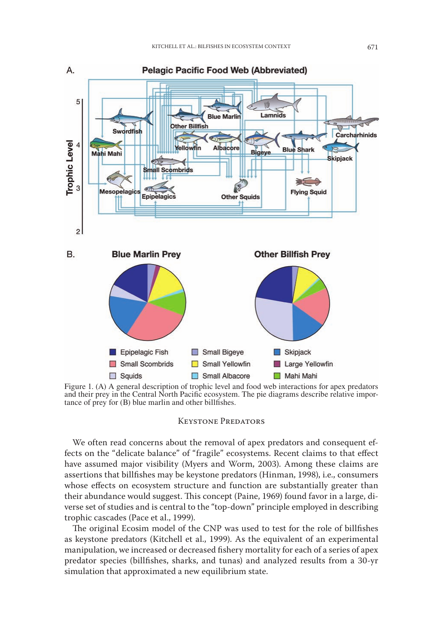

Figure 1. (A) A general description of trophic level and food web interactions for apex predators and their prey in the Central North Pacific ecosystem. The pie diagrams describe relative importance of prey for (B) blue marlin and other billfishes.

#### Keystone Predators

We often read concerns about the removal of apex predators and consequent effects on the "delicate balance" of "fragile" ecosystems. Recent claims to that effect have assumed major visibility (Myers and Worm, 2003). Among these claims are assertions that billfishes may be keystone predators (Hinman, 1998), i.e., consumers whose effects on ecosystem structure and function are substantially greater than their abundance would suggest. This concept (Paine, 1969) found favor in a large, diverse set of studies and is central to the "top-down" principle employed in describing trophic cascades (Pace et al., 1999).

The original Ecosim model of the CNP was used to test for the role of billfishes as keystone predators (Kitchell et al., 1999). As the equivalent of an experimental manipulation, we increased or decreased fishery mortality for each of a series of apex predator species (billfishes, sharks, and tunas) and analyzed results from a 30-yr simulation that approximated a new equilibrium state.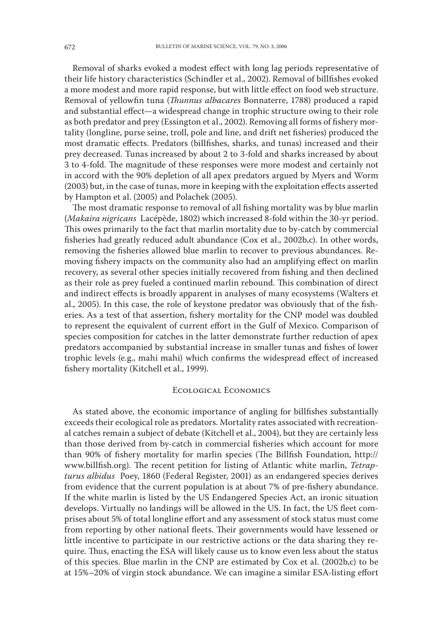Removal of sharks evoked a modest effect with long lag periods representative of their life history characteristics (Schindler et al., 2002). Removal of billfishes evoked a more modest and more rapid response, but with little effect on food web structure. Removal of yellowfin tuna (*Thunnus albacares* Bonnaterre, 1788) produced a rapid and substantial effect—a widespread change in trophic structure owing to their role as both predator and prey (Essington et al., 2002). Removing all forms of fishery mortality (longline, purse seine, troll, pole and line, and drift net fisheries) produced the most dramatic effects. Predators (billfishes, sharks, and tunas) increased and their prey decreased. Tunas increased by about 2 to 3-fold and sharks increased by about 3 to 4-fold. The magnitude of these responses were more modest and certainly not in accord with the 90% depletion of all apex predators argued by Myers and Worm (2003) but, in the case of tunas, more in keeping with the exploitation effects asserted by Hampton et al. (2005) and Polachek (2005).

The most dramatic response to removal of all fishing mortality was by blue marlin (*Makaira nigricans* Lacépède, 1802) which increased 8-fold within the 30-yr period. This owes primarily to the fact that marlin mortality due to by-catch by commercial fisheries had greatly reduced adult abundance (Cox et al., 2002b,c). In other words, removing the fisheries allowed blue marlin to recover to previous abundances. Removing fishery impacts on the community also had an amplifying effect on marlin recovery, as several other species initially recovered from fishing and then declined as their role as prey fueled a continued marlin rebound. This combination of direct and indirect effects is broadly apparent in analyses of many ecosystems (Walters et al., 2005). In this case, the role of keystone predator was obviously that of the fisheries. As a test of that assertion, fishery mortality for the CNP model was doubled to represent the equivalent of current effort in the Gulf of Mexico. Comparison of species composition for catches in the latter demonstrate further reduction of apex predators accompanied by substantial increase in smaller tunas and fishes of lower trophic levels (e.g., mahi mahi) which confirms the widespread effect of increased fishery mortality (Kitchell et al., 1999).

#### Ecological Economics

As stated above, the economic importance of angling for billfishes substantially exceeds their ecological role as predators. Mortality rates associated with recreational catches remain a subject of debate (Kitchell et al., 2004), but they are certainly less than those derived from by-catch in commercial fisheries which account for more than 90% of fishery mortality for marlin species (The Billfish Foundation, http:// www.billfish.org). The recent petition for listing of Atlantic white marlin, *Tetrapturus albidus* Poey, 1860 (Federal Register, 2001) as an endangered species derives from evidence that the current population is at about 7% of pre-fishery abundance. If the white marlin is listed by the US Endangered Species Act, an ironic situation develops. Virtually no landings will be allowed in the US. In fact, the US fleet comprises about 5% of total longline effort and any assessment of stock status must come from reporting by other national fleets. Their governments would have lessened or little incentive to participate in our restrictive actions or the data sharing they require. Thus, enacting the ESA will likely cause us to know even less about the status of this species. Blue marlin in the CNP are estimated by Cox et al. (2002b,c) to be at 15%–20% of virgin stock abundance. We can imagine a similar ESA-listing effort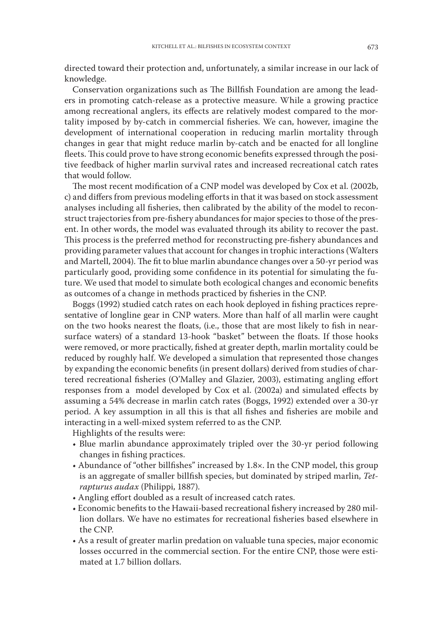directed toward their protection and, unfortunately, a similar increase in our lack of knowledge.

Conservation organizations such as The Billfish Foundation are among the leaders in promoting catch-release as a protective measure. While a growing practice among recreational anglers, its effects are relatively modest compared to the mortality imposed by by-catch in commercial fisheries. We can, however, imagine the development of international cooperation in reducing marlin mortality through changes in gear that might reduce marlin by-catch and be enacted for all longline fleets. This could prove to have strong economic benefits expressed through the positive feedback of higher marlin survival rates and increased recreational catch rates that would follow.

The most recent modification of a CNP model was developed by Cox et al. (2002b, c) and differs from previous modeling efforts in that it was based on stock assessment analyses including all fisheries, then calibrated by the ability of the model to reconstruct trajectories from pre-fishery abundances for major species to those of the present. In other words, the model was evaluated through its ability to recover the past. This process is the preferred method for reconstructing pre-fishery abundances and providing parameter values that account for changes in trophic interactions (Walters and Martell, 2004). The fit to blue marlin abundance changes over a 50-yr period was particularly good, providing some confidence in its potential for simulating the future. We used that model to simulate both ecological changes and economic benefits as outcomes of a change in methods practiced by fisheries in the CNP.

Boggs (1992) studied catch rates on each hook deployed in fishing practices representative of longline gear in CNP waters. More than half of all marlin were caught on the two hooks nearest the floats, (i.e., those that are most likely to fish in nearsurface waters) of a standard 13-hook "basket" between the floats. If those hooks were removed, or more practically, fished at greater depth, marlin mortality could be reduced by roughly half. We developed a simulation that represented those changes by expanding the economic benefits (in present dollars) derived from studies of chartered recreational fisheries (O'Malley and Glazier, 2003), estimating angling effort responses from a model developed by Cox et al. (2002a) and simulated effects by assuming a 54% decrease in marlin catch rates (Boggs, 1992) extended over a 30-yr period. A key assumption in all this is that all fishes and fisheries are mobile and interacting in a well-mixed system referred to as the CNP.

Highlights of the results were:

- Blue marlin abundance approximately tripled over the 30-yr period following changes in fishing practices.
- Abundance of "other billfishes" increased by 1.8×. In the CNP model, this group is an aggregate of smaller billfish species, but dominated by striped marlin, *Tetrapturus audax* (Philippi, 1887).
- Angling effort doubled as a result of increased catch rates.
- Economic benefits to the Hawaii-based recreational fishery increased by 280 million dollars. We have no estimates for recreational fisheries based elsewhere in the CNP.
- As a result of greater marlin predation on valuable tuna species, major economic losses occurred in the commercial section. For the entire CNP, those were estimated at 1.7 billion dollars.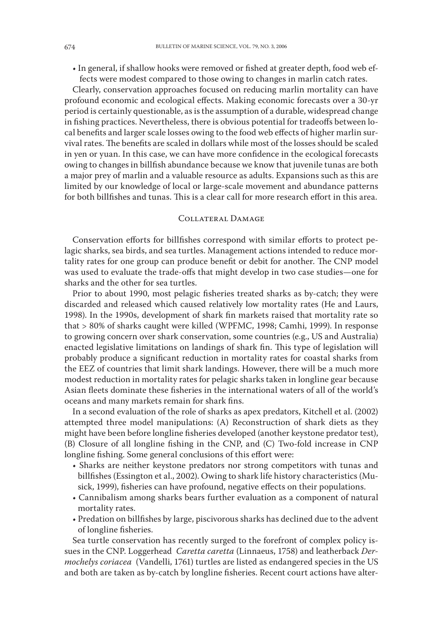• In general, if shallow hooks were removed or fished at greater depth, food web effects were modest compared to those owing to changes in marlin catch rates.

Clearly, conservation approaches focused on reducing marlin mortality can have profound economic and ecological effects. Making economic forecasts over a 30-yr period is certainly questionable, as is the assumption of a durable, widespread change in fishing practices. Nevertheless, there is obvious potential for tradeoffs between local benefits and larger scale losses owing to the food web effects of higher marlin survival rates. The benefits are scaled in dollars while most of the losses should be scaled in yen or yuan. In this case, we can have more confidence in the ecological forecasts owing to changes in billfish abundance because we know that juvenile tunas are both a major prey of marlin and a valuable resource as adults. Expansions such as this are limited by our knowledge of local or large-scale movement and abundance patterns for both billfishes and tunas. This is a clear call for more research effort in this area.

#### Collateral Damage

Conservation efforts for billfishes correspond with similar efforts to protect pelagic sharks, sea birds, and sea turtles. Management actions intended to reduce mortality rates for one group can produce benefit or debit for another. The CNP model was used to evaluate the trade-offs that might develop in two case studies—one for sharks and the other for sea turtles.

Prior to about 1990, most pelagic fisheries treated sharks as by-catch; they were discarded and released which caused relatively low mortality rates (He and Laurs, 1998). In the 1990s, development of shark fin markets raised that mortality rate so that > 80% of sharks caught were killed (WPFMC, 1998; Camhi, 1999). In response to growing concern over shark conservation, some countries (e.g., US and Australia) enacted legislative limitations on landings of shark fin. This type of legislation will probably produce a significant reduction in mortality rates for coastal sharks from the EEZ of countries that limit shark landings. However, there will be a much more modest reduction in mortality rates for pelagic sharks taken in longline gear because Asian fleets dominate these fisheries in the international waters of all of the world's oceans and many markets remain for shark fins.

In a second evaluation of the role of sharks as apex predators, Kitchell et al. (2002) attempted three model manipulations: (A) Reconstruction of shark diets as they might have been before longline fisheries developed (another keystone predator test), (B) Closure of all longline fishing in the CNP, and (C) Two-fold increase in CNP longline fishing. Some general conclusions of this effort were:

- Sharks are neither keystone predators nor strong competitors with tunas and billfishes (Essington et al., 2002). Owing to shark life history characteristics (Musick, 1999), fisheries can have profound, negative effects on their populations.
- Cannibalism among sharks bears further evaluation as a component of natural mortality rates.
- Predation on billfishes by large, piscivorous sharks has declined due to the advent of longline fisheries.

Sea turtle conservation has recently surged to the forefront of complex policy issues in the CNP. Loggerhead *Caretta caretta* (Linnaeus, 1758) and leatherback *Dermochelys coriacea* (Vandelli, 1761) turtles are listed as endangered species in the US and both are taken as by-catch by longline fisheries. Recent court actions have alter-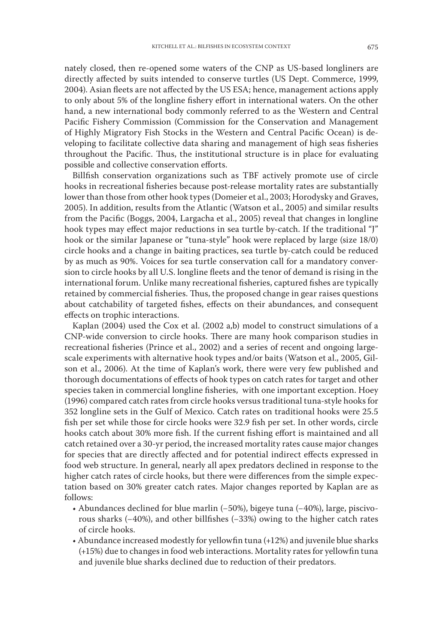nately closed, then re-opened some waters of the CNP as US-based longliners are directly affected by suits intended to conserve turtles (US Dept. Commerce, 1999, 2004). Asian fleets are not affected by the US ESA; hence, management actions apply to only about 5% of the longline fishery effort in international waters. On the other hand, a new international body commonly referred to as the Western and Central Pacific Fishery Commission (Commission for the Conservation and Management of Highly Migratory Fish Stocks in the Western and Central Pacific Ocean) is developing to facilitate collective data sharing and management of high seas fisheries throughout the Pacific. Thus, the institutional structure is in place for evaluating possible and collective conservation efforts.

Billfish conservation organizations such as TBF actively promote use of circle hooks in recreational fisheries because post-release mortality rates are substantially lower than those from other hook types (Domeier et al., 2003; Horodysky and Graves, 2005). In addition, results from the Atlantic (Watson et al., 2005) and similar results from the Pacific (Boggs, 2004, Largacha et al., 2005) reveal that changes in longline hook types may effect major reductions in sea turtle by-catch. If the traditional "J" hook or the similar Japanese or "tuna-style" hook were replaced by large (size 18/0) circle hooks and a change in baiting practices, sea turtle by-catch could be reduced by as much as 90%. Voices for sea turtle conservation call for a mandatory conversion to circle hooks by all U.S. longline fleets and the tenor of demand is rising in the international forum. Unlike many recreational fisheries, captured fishes are typically retained by commercial fisheries. Thus, the proposed change in gear raises questions about catchability of targeted fishes, effects on their abundances, and consequent effects on trophic interactions.

Kaplan (2004) used the Cox et al. (2002 a,b) model to construct simulations of a CNP-wide conversion to circle hooks. There are many hook comparison studies in recreational fisheries (Prince et al., 2002) and a series of recent and ongoing largescale experiments with alternative hook types and/or baits (Watson et al., 2005, Gilson et al., 2006). At the time of Kaplan's work, there were very few published and thorough documentations of effects of hook types on catch rates for target and other species taken in commercial longline fisheries, with one important exception. Hoey (1996) compared catch rates from circle hooks versus traditional tuna-style hooks for 352 longline sets in the Gulf of Mexico. Catch rates on traditional hooks were 25.5 fish per set while those for circle hooks were 32.9 fish per set. In other words, circle hooks catch about 30% more fish. If the current fishing effort is maintained and all catch retained over a 30-yr period, the increased mortality rates cause major changes for species that are directly affected and for potential indirect effects expressed in food web structure. In general, nearly all apex predators declined in response to the higher catch rates of circle hooks, but there were differences from the simple expectation based on 30% greater catch rates. Major changes reported by Kaplan are as follows:

- Abundances declined for blue marlin (−50%), bigeye tuna (−40%), large, piscivorous sharks (−40%), and other billfishes (−33%) owing to the higher catch rates of circle hooks.
- Abundance increased modestly for yellowfin tuna (+12%) and juvenile blue sharks (+15%) due to changes in food web interactions. Mortality rates for yellowfin tuna and juvenile blue sharks declined due to reduction of their predators.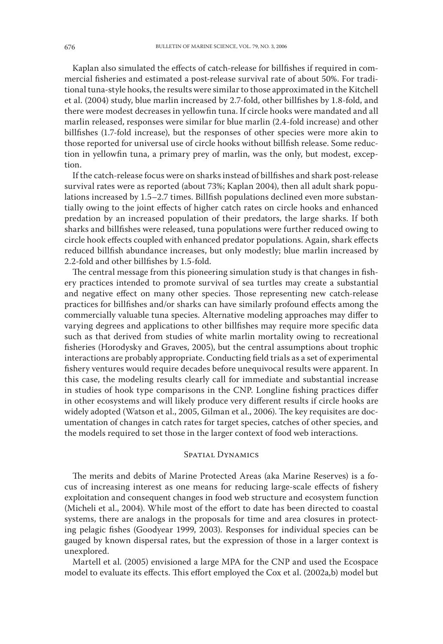Kaplan also simulated the effects of catch-release for billfishes if required in commercial fisheries and estimated a post-release survival rate of about 50%. For traditional tuna-style hooks, the results were similar to those approximated in the Kitchell et al. (2004) study, blue marlin increased by 2.7-fold, other billfishes by 1.8-fold, and there were modest decreases in yellowfin tuna. If circle hooks were mandated and all marlin released, responses were similar for blue marlin (2.4-fold increase) and other billfishes (1.7-fold increase), but the responses of other species were more akin to those reported for universal use of circle hooks without billfish release. Some reduction in yellowfin tuna, a primary prey of marlin, was the only, but modest, exception.

If the catch-release focus were on sharks instead of billfishes and shark post-release survival rates were as reported (about 73%; Kaplan 2004), then all adult shark populations increased by 1.5–2.7 times. Billfish populations declined even more substantially owing to the joint effects of higher catch rates on circle hooks and enhanced predation by an increased population of their predators, the large sharks. If both sharks and billfishes were released, tuna populations were further reduced owing to circle hook effects coupled with enhanced predator populations. Again, shark effects reduced billfish abundance increases, but only modestly; blue marlin increased by 2.2-fold and other billfishes by 1.5-fold.

The central message from this pioneering simulation study is that changes in fishery practices intended to promote survival of sea turtles may create a substantial and negative effect on many other species. Those representing new catch-release practices for billfishes and/or sharks can have similarly profound effects among the commercially valuable tuna species. Alternative modeling approaches may differ to varying degrees and applications to other billfishes may require more specific data such as that derived from studies of white marlin mortality owing to recreational fisheries (Horodysky and Graves, 2005), but the central assumptions about trophic interactions are probably appropriate. Conducting field trials as a set of experimental fishery ventures would require decades before unequivocal results were apparent. In this case, the modeling results clearly call for immediate and substantial increase in studies of hook type comparisons in the CNP. Longline fishing practices differ in other ecosystems and will likely produce very different results if circle hooks are widely adopted (Watson et al., 2005, Gilman et al., 2006). The key requisites are documentation of changes in catch rates for target species, catches of other species, and the models required to set those in the larger context of food web interactions.

#### SPATIAL DYNAMICS

The merits and debits of Marine Protected Areas (aka Marine Reserves) is a focus of increasing interest as one means for reducing large-scale effects of fishery exploitation and consequent changes in food web structure and ecosystem function (Micheli et al., 2004). While most of the effort to date has been directed to coastal systems, there are analogs in the proposals for time and area closures in protecting pelagic fishes (Goodyear 1999, 2003). Responses for individual species can be gauged by known dispersal rates, but the expression of those in a larger context is unexplored.

Martell et al. (2005) envisioned a large MPA for the CNP and used the Ecospace model to evaluate its effects. This effort employed the Cox et al. (2002a,b) model but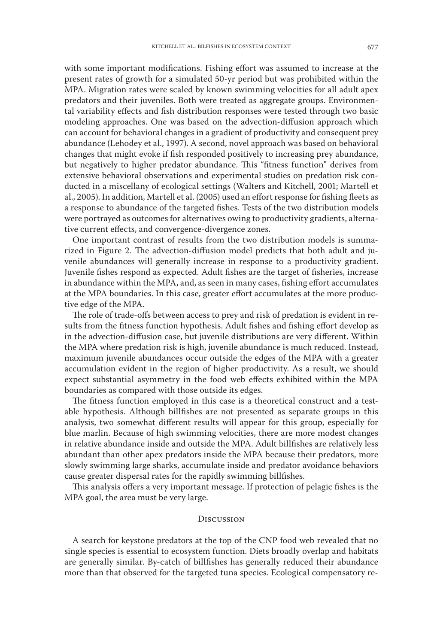with some important modifications. Fishing effort was assumed to increase at the present rates of growth for a simulated 50-yr period but was prohibited within the MPA. Migration rates were scaled by known swimming velocities for all adult apex predators and their juveniles. Both were treated as aggregate groups. Environmental variability effects and fish distribution responses were tested through two basic modeling approaches. One was based on the advection-diffusion approach which can account for behavioral changes in a gradient of productivity and consequent prey abundance (Lehodey et al., 1997). A second, novel approach was based on behavioral changes that might evoke if fish responded positively to increasing prey abundance, but negatively to higher predator abundance. This "fitness function" derives from extensive behavioral observations and experimental studies on predation risk conducted in a miscellany of ecological settings (Walters and Kitchell, 2001; Martell et al., 2005). In addition, Martell et al. (2005) used an effort response for fishing fleets as a response to abundance of the targeted fishes. Tests of the two distribution models were portrayed as outcomes for alternatives owing to productivity gradients, alternative current effects, and convergence-divergence zones.

One important contrast of results from the two distribution models is summarized in Figure 2. The advection-diffusion model predicts that both adult and juvenile abundances will generally increase in response to a productivity gradient. Juvenile fishes respond as expected. Adult fishes are the target of fisheries, increase in abundance within the MPA, and, as seen in many cases, fishing effort accumulates at the MPA boundaries. In this case, greater effort accumulates at the more productive edge of the MPA.

The role of trade-offs between access to prey and risk of predation is evident in results from the fitness function hypothesis. Adult fishes and fishing effort develop as in the advection-diffusion case, but juvenile distributions are very different. Within the MPA where predation risk is high, juvenile abundance is much reduced. Instead, maximum juvenile abundances occur outside the edges of the MPA with a greater accumulation evident in the region of higher productivity. As a result, we should expect substantial asymmetry in the food web effects exhibited within the MPA boundaries as compared with those outside its edges.

The fitness function employed in this case is a theoretical construct and a testable hypothesis. Although billfishes are not presented as separate groups in this analysis, two somewhat different results will appear for this group, especially for blue marlin. Because of high swimming velocities, there are more modest changes in relative abundance inside and outside the MPA. Adult billfishes are relatively less abundant than other apex predators inside the MPA because their predators, more slowly swimming large sharks, accumulate inside and predator avoidance behaviors cause greater dispersal rates for the rapidly swimming billfishes.

This analysis offers a very important message. If protection of pelagic fishes is the MPA goal, the area must be very large.

#### **DISCUSSION**

A search for keystone predators at the top of the CNP food web revealed that no single species is essential to ecosystem function. Diets broadly overlap and habitats are generally similar. By-catch of billfishes has generally reduced their abundance more than that observed for the targeted tuna species. Ecological compensatory re-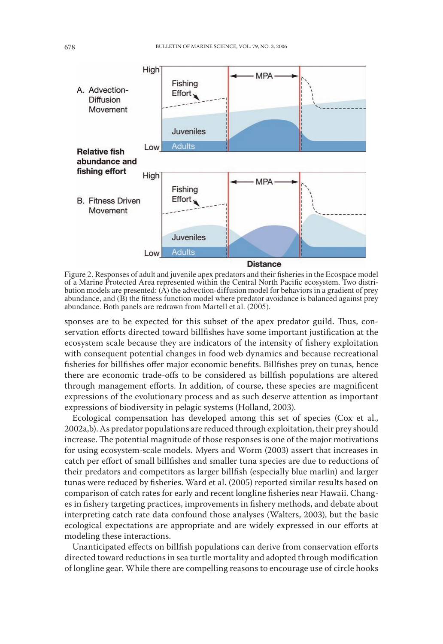

Figure 2. Responses of adult and juvenile apex predators and their fisheries in the Ecospace model of a Marine Protected Area represented within the Central North Pacific ecosystem. Two distribution models are presented:  $(A)$  the advection-diffusion model for behaviors in a gradient of prey abundance, and (B) the fitness function model where predator avoidance is balanced against prey abundance. Both panels are redrawn from Martell et al. (2005).

sponses are to be expected for this subset of the apex predator guild. Thus, conservation efforts directed toward billfishes have some important justification at the ecosystem scale because they are indicators of the intensity of fishery exploitation with consequent potential changes in food web dynamics and because recreational fisheries for billfishes offer major economic benefits. Billfishes prey on tunas, hence there are economic trade-offs to be considered as billfish populations are altered through management efforts. In addition, of course, these species are magnificent expressions of the evolutionary process and as such deserve attention as important expressions of biodiversity in pelagic systems (Holland, 2003).

Ecological compensation has developed among this set of species (Cox et al., 2002a,b). As predator populations are reduced through exploitation, their prey should increase. The potential magnitude of those responses is one of the major motivations for using ecosystem-scale models. Myers and Worm (2003) assert that increases in catch per effort of small billfishes and smaller tuna species are due to reductions of their predators and competitors as larger billfish (especially blue marlin) and larger tunas were reduced by fisheries. Ward et al. (2005) reported similar results based on comparison of catch rates for early and recent longline fisheries near Hawaii. Changes in fishery targeting practices, improvements in fishery methods, and debate about interpreting catch rate data confound those analyses (Walters, 2003), but the basic ecological expectations are appropriate and are widely expressed in our efforts at modeling these interactions.

Unanticipated effects on billfish populations can derive from conservation efforts directed toward reductions in sea turtle mortality and adopted through modification of longline gear. While there are compelling reasons to encourage use of circle hooks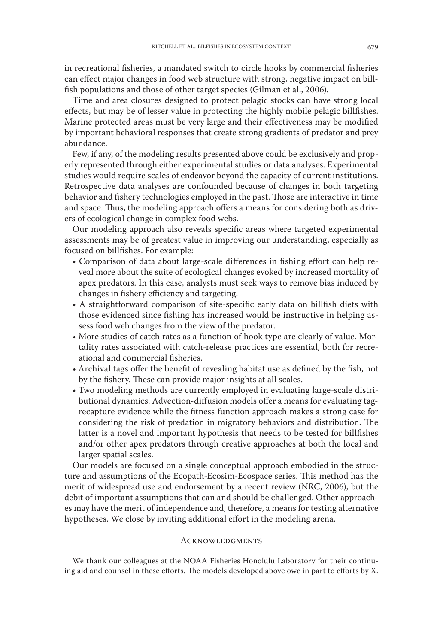in recreational fisheries, a mandated switch to circle hooks by commercial fisheries can effect major changes in food web structure with strong, negative impact on billfish populations and those of other target species (Gilman et al., 2006).

Time and area closures designed to protect pelagic stocks can have strong local effects, but may be of lesser value in protecting the highly mobile pelagic billfishes. Marine protected areas must be very large and their effectiveness may be modified by important behavioral responses that create strong gradients of predator and prey abundance.

Few, if any, of the modeling results presented above could be exclusively and properly represented through either experimental studies or data analyses. Experimental studies would require scales of endeavor beyond the capacity of current institutions. Retrospective data analyses are confounded because of changes in both targeting behavior and fishery technologies employed in the past. Those are interactive in time and space. Thus, the modeling approach offers a means for considering both as drivers of ecological change in complex food webs.

Our modeling approach also reveals specific areas where targeted experimental assessments may be of greatest value in improving our understanding, especially as focused on billfishes. For example:

- Comparison of data about large-scale differences in fishing effort can help reveal more about the suite of ecological changes evoked by increased mortality of apex predators. In this case, analysts must seek ways to remove bias induced by changes in fishery efficiency and targeting.
- A straightforward comparison of site-specific early data on billfish diets with those evidenced since fishing has increased would be instructive in helping assess food web changes from the view of the predator.
- More studies of catch rates as a function of hook type are clearly of value. Mortality rates associated with catch-release practices are essential, both for recreational and commercial fisheries.
- Archival tags offer the benefit of revealing habitat use as defined by the fish, not by the fishery. These can provide major insights at all scales.
- Two modeling methods are currently employed in evaluating large-scale distributional dynamics. Advection-diffusion models offer a means for evaluating tagrecapture evidence while the fitness function approach makes a strong case for considering the risk of predation in migratory behaviors and distribution. The latter is a novel and important hypothesis that needs to be tested for billfishes and/or other apex predators through creative approaches at both the local and larger spatial scales.

Our models are focused on a single conceptual approach embodied in the structure and assumptions of the Ecopath-Ecosim-Ecospace series. This method has the merit of widespread use and endorsement by a recent review (NRC, 2006), but the debit of important assumptions that can and should be challenged. Other approaches may have the merit of independence and, therefore, a means for testing alternative hypotheses. We close by inviting additional effort in the modeling arena.

#### **ACKNOWLEDGMENTS**

We thank our colleagues at the NOAA Fisheries Honolulu Laboratory for their continuing aid and counsel in these efforts. The models developed above owe in part to efforts by X.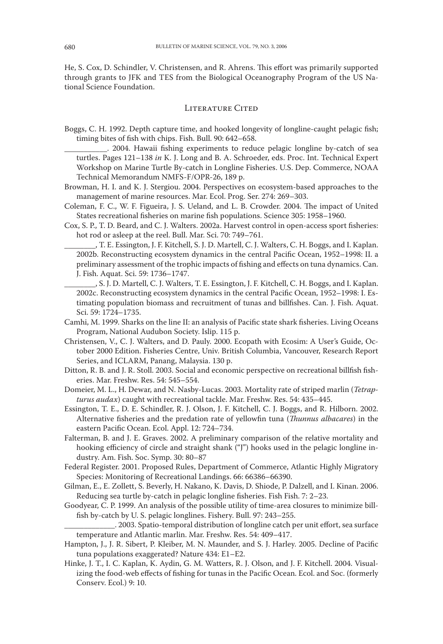He, S. Cox, D. Schindler, V. Christensen, and R. Ahrens. This effort was primarily supported through grants to JFK and TES from the Biological Oceanography Program of the US National Science Foundation.

### LITERATURE CITED

- Boggs, C. H. 1992. Depth capture time, and hooked longevity of longline-caught pelagic fish; timing bites of fish with chips. Fish. Bull. 90: 642–658.
	- \_\_\_\_\_\_\_\_\_\_\_. 2004. Hawaii fishing experiments to reduce pelagic longline by-catch of sea turtles. Pages 121–138 *in* K. J. Long and B. A. Schroeder, eds. Proc. Int. Technical Expert Workshop on Marine Turtle By-catch in Longline Fisheries. U.S. Dep. Commerce, NOAA Technical Memorandum NMFS-F/OPR-26, 189 p.
- Browman, H. I. and K. J. Stergiou. 2004. Perspectives on ecosystem-based approaches to the management of marine resources. Mar. Ecol. Prog. Ser. 274: 269–303.
- Coleman, F. C., W. F. Figueira, J. S. Ueland, and L. B. Crowder. 2004. The impact of United States recreational fisheries on marine fish populations. Science 305: 1958–1960.
- Cox, S. P., T. D. Beard, and C. J. Walters. 2002a. Harvest control in open-access sport fisheries: hot rod or asleep at the reel. Bull. Mar. Sci. 70: 749–761.
	- \_\_\_\_\_\_\_\_, T. E. Essington, J. F. Kitchell, S. J. D. Martell, C. J. Walters, C. H. Boggs, and I. Kaplan. 2002b. Reconstructing ecosystem dynamics in the central Pacific Ocean, 1952–1998: II. a preliminary assessment of the trophic impacts of fishing and effects on tuna dynamics. Can. J. Fish. Aquat. Sci. 59: 1736–1747.
	- , S. J. D. Martell, C. J. Walters, T. E. Essington, J. F. Kitchell, C. H. Boggs, and I. Kaplan. 2002c. Reconstructing ecosystem dynamics in the central Pacific Ocean, 1952–1998: I. Estimating population biomass and recruitment of tunas and billfishes. Can. J. Fish. Aquat. Sci. 59: 1724–1735.
- Camhi, M. 1999. Sharks on the line II: an analysis of Pacific state shark fisheries. Living Oceans Program, National Audubon Society. Islip. 115 p.
- Christensen, V., C. J. Walters, and D. Pauly. 2000. Ecopath with Ecosim: A User's Guide, October 2000 Edition. Fisheries Centre, Univ. British Columbia, Vancouver, Research Report Series, and ICLARM, Panang, Malaysia. 130 p.
- Ditton, R. B. and J. R. Stoll. 2003. Social and economic perspective on recreational billfish fisheries. Mar. Freshw. Res. 54: 545–554.
- Domeier, M. L., H. Dewar, and N. Nasby-Lucas. 2003. Mortality rate of striped marlin (*Tetrapturus audax*) caught with recreational tackle. Mar. Freshw. Res. 54: 435–445.
- Essington, T. E., D. E. Schindler, R. J. Olson, J. F. Kitchell, C. J. Boggs, and R. Hilborn. 2002. Alternative fisheries and the predation rate of yellowfin tuna (*Thunnus albacares*) in the eastern Pacific Ocean. Ecol. Appl. 12: 724–734.
- Falterman, B. and J. E. Graves. 2002. A preliminary comparison of the relative mortality and hooking efficiency of circle and straight shank ("J") hooks used in the pelagic longline industry. Am. Fish. Soc. Symp. 30: 80–87
- Federal Register. 2001. Proposed Rules, Department of Commerce, Atlantic Highly Migratory Species: Monitoring of Recreational Landings. 66: 66386–66390.
- Gilman, E., E. Zollett, S. Beverly, H. Nakano, K. Davis, D. Shiode, P. Dalzell, and I. Kinan. 2006. Reducing sea turtle by-catch in pelagic longline fisheries. Fish Fish. 7: 2–23.
- Goodyear, C. P. 1999. An analysis of the possible utility of time-area closures to minimize billfish by-catch by U. S. pelagic longlines. Fishery. Bull. 97: 243–255.

\_\_\_\_\_\_\_\_\_\_\_\_\_. 2003. Spatio-temporal distribution of longline catch per unit effort, sea surface temperature and Atlantic marlin. Mar. Freshw. Res. 54: 409–417.

- Hampton, J., J. R. Sibert, P. Kleiber, M. N. Maunder, and S. J. Harley. 2005. Decline of Pacific tuna populations exaggerated? Nature 434: E1–E2.
- Hinke, J. T., I. C. Kaplan, K. Aydin, G. M. Watters, R. J. Olson, and J. F. Kitchell. 2004. Visualizing the food-web effects of fishing for tunas in the Pacific Ocean. Ecol. and Soc. (formerly Conserv. Ecol.) 9: 10.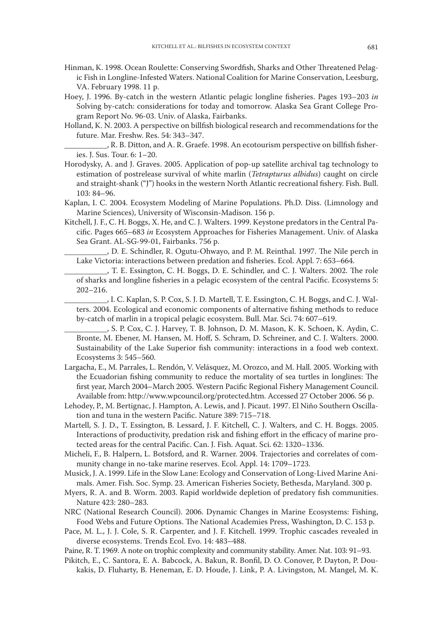- Hinman, K. 1998. Ocean Roulette: Conserving Swordfish, Sharks and Other Threatened Pelagic Fish in Longline-Infested Waters. National Coalition for Marine Conservation, Leesburg, VA. February 1998. 11 p.
- Hoey, J. 1996. By-catch in the western Atlantic pelagic longline fisheries. Pages 193–203 *in* Solving by-catch: considerations for today and tomorrow. Alaska Sea Grant College Program Report No. 96-03. Univ. of Alaska, Fairbanks.
- Holland, K. N. 2003. A perspective on billfish biological research and recommendations for the future. Mar. Freshw. Res. 54: 343–347.
	- \_\_\_\_\_\_\_\_\_\_\_, R. B. Ditton, and A. R. Graefe. 1998. An ecotourism perspective on billfish fisheries. J. Sus. Tour. 6: 1–20.
- Horodysky, A. and J. Graves. 2005. Application of pop-up satellite archival tag technology to estimation of postrelease survival of white marlin (*Tetrapturus albidus*) caught on circle and straight-shank ("J") hooks in the western North Atlantic recreational fishery. Fish. Bull. 103: 84–96.
- Kaplan, I. C. 2004. Ecosystem Modeling of Marine Populations. Ph.D. Diss. (Limnology and Marine Sciences), University of Wisconsin-Madison. 156 p.
- Kitchell, J. F., C. H. Boggs, X. He, and C. J. Walters. 1999. Keystone predators in the Central Pacific. Pages 665–683 *in* Ecosystem Approaches for Fisheries Management. Univ. of Alaska Sea Grant. AL-SG-99-01, Fairbanks. 756 p.
	- \_\_\_\_\_\_\_\_\_\_\_, D. E. Schindler, R. Ogutu-Ohwayo, and P. M. Reinthal. 1997. The Nile perch in Lake Victoria: interactions between predation and fisheries. Ecol. Appl. 7: 653–664.
	- \_\_\_\_\_\_\_\_\_\_\_, T. E. Essington, C. H. Boggs, D. E. Schindler, and C. J. Walters. 2002. The role of sharks and longline fisheries in a pelagic ecosystem of the central Pacific. Ecosystems 5: 202–216.
	- , I. C. Kaplan, S. P. Cox, S. J. D. Martell, T. E. Essington, C. H. Boggs, and C. J. Walters. 2004. Ecological and economic components of alternative fishing methods to reduce by-catch of marlin in a tropical pelagic ecosystem. Bull. Mar. Sci. 74: 607–619.

\_\_\_\_\_\_\_\_\_\_\_, S. P. Cox, C. J. Harvey, T. B. Johnson, D. M. Mason, K. K. Schoen, K. Aydin, C. Bronte, M. Ebener, M. Hansen, M. Hoff, S. Schram, D. Schreiner, and C. J. Walters. 2000. Sustainability of the Lake Superior fish community: interactions in a food web context. Ecosystems 3: 545–560.

- Largacha, E., M. Parrales, L. Rendón, V. Velásquez, M. Orozco, and M. Hall. 2005. Working with the Ecuadorian fishing community to reduce the mortality of sea turtles in longlines: The first year, March 2004–March 2005. Western Pacific Regional Fishery Management Council. Available from: http://www.wpcouncil.org/protected.htm. Accessed 27 October 2006. 56 p.
- Lehodey, P., M. Bertignac, J. Hampton, A. Lewis, and J. Picaut. 1997. El Niño Southern Oscillation and tuna in the western Pacific. Nature 389: 715–718.
- Martell, S. J. D., T. Essington, B. Lessard, J. F. Kitchell, C. J. Walters, and C. H. Boggs. 2005. Interactions of productivity, predation risk and fishing effort in the efficacy of marine protected areas for the central Pacific. Can. J. Fish. Aquat. Sci. 62: 1320–1336.
- Micheli, F., B. Halpern, L. Botsford, and R. Warner. 2004. Trajectories and correlates of community change in no-take marine reserves. Ecol. Appl. 14: 1709–1723.
- Musick, J. A. 1999. Life in the Slow Lane: Ecology and Conservation of Long-Lived Marine Animals. Amer. Fish. Soc. Symp. 23. American Fisheries Society, Bethesda, Maryland. 300 p.
- Myers, R. A. and B. Worm. 2003. Rapid worldwide depletion of predatory fish communities. Nature 423: 280–283.
- NRC (National Research Council). 2006. Dynamic Changes in Marine Ecosystems: Fishing, Food Webs and Future Options. The National Academies Press, Washington, D. C. 153 p.
- Pace, M. L., J. J. Cole, S. R. Carpenter, and J. F. Kitchell. 1999. Trophic cascades revealed in diverse ecosystems. Trends Ecol. Evo. 14: 483–488.
- Paine, R. T. 1969. A note on trophic complexity and community stability. Amer. Nat. 103: 91–93.
- Pikitch, E., C. Santora, E. A. Babcock, A. Bakun, R. Bonfil, D. O. Conover, P. Dayton, P. Doukakis, D. Fluharty, B. Heneman, E. D. Houde, J. Link, P. A. Livingston, M. Mangel, M. K.